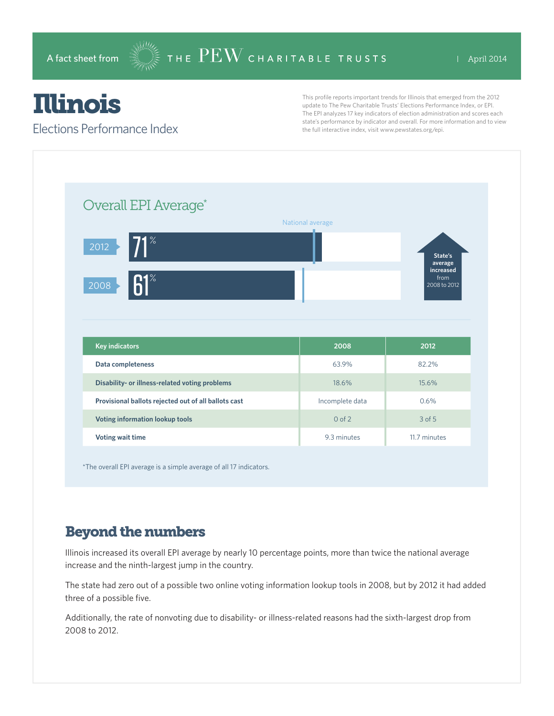# Illinois

#### Elections Performance Index

This profile reports important trends for Illinois that emerged from the 2012 update to The Pew Charitable Trusts' Elections Performance Index, or EPI. The EPI analyzes 17 key indicators of election administration and scores each state's performance by indicator and overall. For more information and to view the full interactive index, visit www.pewstates.org/epi.

| Overall EPI Average*                                 |                  |                                   |
|------------------------------------------------------|------------------|-----------------------------------|
|                                                      | National average |                                   |
| $71^{\circ}$<br>2012                                 |                  | State's<br>average                |
| $61^\circ$<br>2008                                   |                  | increased<br>from<br>2008 to 2012 |
|                                                      |                  |                                   |
|                                                      |                  |                                   |
|                                                      |                  |                                   |
| <b>Key indicators</b>                                | 2008             | 2012                              |
| Data completeness                                    | 63.9%            | 82.2%                             |
| Disability- or illness-related voting problems       | 18.6%            | 15.6%                             |
| Provisional ballots rejected out of all ballots cast | Incomplete data  | 0.6%                              |
| Voting information lookup tools                      | $0$ of $2$       | 3 of 5                            |

\*The overall EPI average is a simple average of all 17 indicators.

### Beyond the numbers

Illinois increased its overall EPI average by nearly 10 percentage points, more than twice the national average increase and the ninth-largest jump in the country.

The state had zero out of a possible two online voting information lookup tools in 2008, but by 2012 it had added three of a possible five.

Additionally, the rate of nonvoting due to disability- or illness-related reasons had the sixth-largest drop from 2008 to 2012.